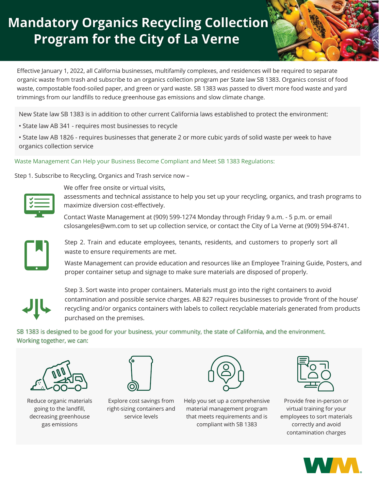# **Mandatory Organics Recycling Collection Program for the City of La Verne**



Effective January 1, 2022, all California businesses, multifamily complexes, and residences will be required to separate organic waste from trash and subscribe to an organics collection program per State law SB 1383. Organics consist of food waste, compostable food-soiled paper, and green or yard waste. SB 1383 was passed to divert more food waste and yard trimmings from our landfills to reduce greenhouse gas emissions and slow climate change.

New State law SB 1383 is in addition to other current California laws established to protect the environment:

• State law AB 341 - requires most businesses to recycle

• State law AB 1826 - requires businesses that generate 2 or more cubic yards of solid waste per week to have organics collection service

#### Waste Management Can Help your Business Become Compliant and Meet SB 1383 Regulations:

Step 1. Subscribe to Recycling, Organics and Trash service now –



We offer free onsite or virtual visits,

assessments and technical assistance to help you set up your recycling, organics, and trash programs to maximize diversion cost-effectively.

Contact Waste Management at (909) 599-1274 Monday through Friday 9 a.m. - 5 p.m. or email cslosangeles@wm.com to set up collection service, or contact the City of La Verne at (909) 594-8741.



Step 2. Train and educate employees, tenants, residents, and customers to properly sort all waste to ensure requirements are met.

Waste Management can provide education and resources like an Employee Training Guide, Posters, and proper container setup and signage to make sure materials are disposed of properly.



Step 3. Sort waste into proper containers. Materials must go into the right containers to avoid contamination and possible service charges. AB 827 requires businesses to provide 'front of the house' recycling and/or organics containers with labels to collect recyclable materials generated from products purchased on the premises.

SB 1383 is designed to be good for your business, your community, the state of California, and the environment. Working together, we can:



Reduce organic materials going to the landfill, decreasing greenhouse gas emissions



Explore cost savings from right-sizing containers and service levels



Help you set up a comprehensive material management program that meets requirements and is compliant with SB 1383



Provide free in-person or virtual training for your employees to sort materials correctly and avoid contamination charges